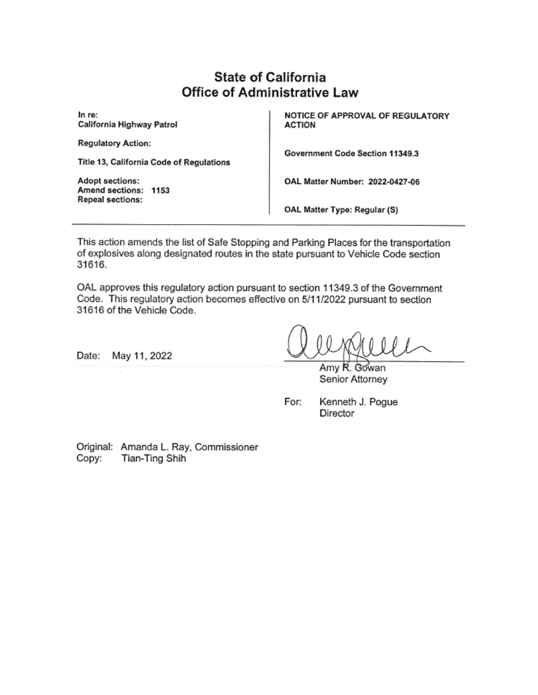## State of California Office of Administrative Law

In re: California Highway Patrol

**Regulatory Action:** 

Title 13, California Code of Regulations

**Adopt sections:** Amend sections: 1153 Repeal sections:

NOTICE OF APPROVAL OF REGULATORY **ACTION** 

Government Code Section 11349.3

OAL Matter Number: 2022-0427-06

OAL Matter Type: Regular (S)

This action amends the list of Safe Stopping and Parking Places for the transportation of explosives along designated routes in the state pursuant to Vehicle Code section 31616.

OAL approves this regulatory action pursuant to section 11349.3 of the Government Code. This regulatory action becomes effective on 5/11/2022 pursuant to section 31616 of the Vehicle Code.

Date: May 11, 2022

Amy R. Gowan Senior Attorney

For: Kenneth J. Pogue Director

Original: Amanda L. Ray, Commissioner Copy: Tian-Ting Shih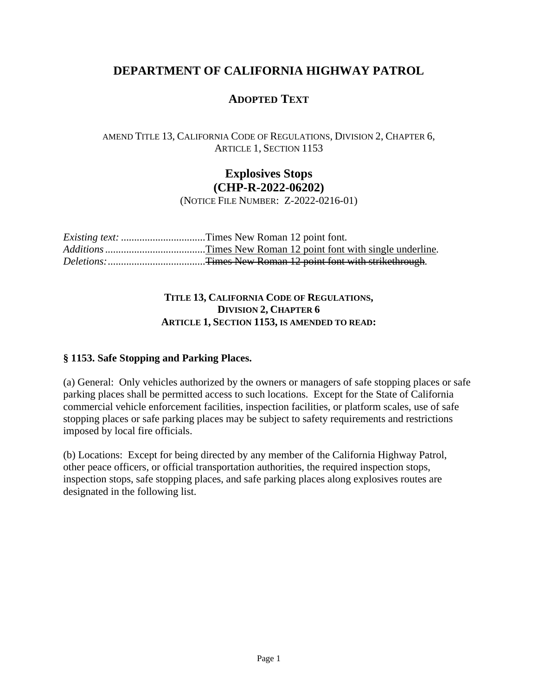## **DEPARTMENT OF CALIFORNIA HIGHWAY PATROL**

### **ADOPTED TEXT**

#### AMEND TITLE 13, CALIFORNIA CODE OF REGULATIONS, DIVISION 2, CHAPTER 6, ARTICLE 1, SECTION 1153

# **Explosives Stops (CHP-R-2022-06202)**

(NOTICE FILE NUMBER: Z-2022-0216-01)

### **TITLE 13, CALIFORNIA CODE OF REGULATIONS, DIVISION 2, CHAPTER 6 ARTICLE 1, SECTION 1153, IS AMENDED TO READ:**

### **§ 1153. Safe Stopping and Parking Places.**

(a) General: Only vehicles authorized by the owners or managers of safe stopping places or safe parking places shall be permitted access to such locations. Except for the State of California commercial vehicle enforcement facilities, inspection facilities, or platform scales, use of safe stopping places or safe parking places may be subject to safety requirements and restrictions imposed by local fire officials.

(b) Locations: Except for being directed by any member of the California Highway Patrol, other peace officers, or official transportation authorities, the required inspection stops, inspection stops, safe stopping places, and safe parking places along explosives routes are designated in the following list.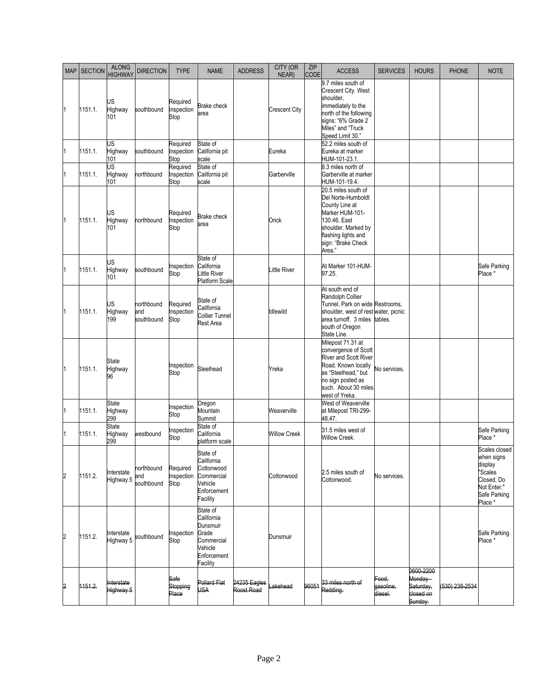| <b>MAP</b> | <b>SECTION</b> | <b>ALONG</b><br><b>HIGHWAY</b> | <b>DIRECTION</b>                | <b>TYPE</b>                    | <b>NAME</b>                                                                                     | <b>ADDRESS</b>             | <b>CITY (OR</b><br>NEAR) | ZIP<br>CODE | <b>ACCESS</b>                                                                                                                                                                          | <b>SERVICES</b>               | <b>HOURS</b>                                              | <b>PHONE</b>   | <b>NOTE</b>                                                                                               |
|------------|----------------|--------------------------------|---------------------------------|--------------------------------|-------------------------------------------------------------------------------------------------|----------------------------|--------------------------|-------------|----------------------------------------------------------------------------------------------------------------------------------------------------------------------------------------|-------------------------------|-----------------------------------------------------------|----------------|-----------------------------------------------------------------------------------------------------------|
| 1          | 1151.1.        | US<br>Highway<br>101           | southbound                      | Required<br>Inspection<br>Stop | <b>Brake check</b><br>area                                                                      |                            | Crescent City            |             | 9.7 miles south of<br>Crescent City. West<br>shoulder,<br>immediately to the<br>north of the following<br>signs: "6% Grade 2<br>Miles" and "Truck<br>Speed Limit 30."                  |                               |                                                           |                |                                                                                                           |
| 1          | 1151.1.        | US<br>Highway<br>101           | southbound                      | Required<br>Inspection<br>Stop | State of<br>California pit<br>scale                                                             |                            | Eureka                   |             | 52.2 miles south of<br>Eureka at marker<br>HUM-101-23.1.                                                                                                                               |                               |                                                           |                |                                                                                                           |
|            | 1151.1.        | US<br>Highway<br>101           | northbound                      | Required<br>Inspection<br>Stop | State of<br>California pit<br>scale                                                             |                            | Garberville              |             | 8.3 miles north of<br>Garberville at marker<br>HUM-101-19.4.                                                                                                                           |                               |                                                           |                |                                                                                                           |
| 1          | 1151.1.        | US<br>Highway<br>101           | northbound                      | Required<br>Inspection<br>Stop | <b>Brake check</b><br>area                                                                      |                            | Orick                    |             | 20.5 miles south of<br>Del Norte-Humboldt<br>County Line at<br>Marker HUM-101-<br>130.46. East<br>shoulder. Marked by<br>flashing lights and<br>sign: "Brake Check<br>Area."           |                               |                                                           |                |                                                                                                           |
|            | 1151.1.        | US<br>Highway<br>101           | southbound                      | Inspection<br>Stop             | State of<br>California<br>ittle River<br><b>Platform Scale</b>                                  |                            | ittle River              |             | At Marker 101-HUM-<br>97.25.                                                                                                                                                           |                               |                                                           |                | Safe Parking<br>Place *                                                                                   |
| 1          | 1151.1.        | US<br>Highway<br>199           | northbound<br>and<br>southbound | Required<br>Inspection<br>Stop | State of<br>California<br>Collier Tunnel<br>Rest Area                                           |                            | dlewild                  |             | At south end of<br>Randolph Collier<br>Tunnel. Park on wide Restrooms,<br>shoulder, west of rest water, picnic<br>area turnoff. 3 miles tables.<br>south of Oregon<br>State Line.      |                               |                                                           |                |                                                                                                           |
|            | 1151.1.        | State<br>Highway<br>96         |                                 | Inspection<br>Stop             | Steelhead                                                                                       |                            | Yreka                    |             | Milepost 71.31 at<br>convergence of Scott<br><b>River and Scott River</b><br>Road. Known locally<br>as "Steelhead," but<br>no sign posted as<br>such. About 30 miles<br>west of Yreka. | <b>No services.</b>           |                                                           |                |                                                                                                           |
|            | 1151.1.        | State<br>Highway<br>299        |                                 | Inspection<br>Stop             | Oregon<br>Mountain<br>Summit                                                                    |                            | Weaverville              |             | West of Weaverville<br>at Milepost TRI-299-<br>48.47.                                                                                                                                  |                               |                                                           |                |                                                                                                           |
|            | 1151.1.        | State<br>Highway<br>299        | westbound                       | Inspection<br>Stop             | State of<br>California<br>platform scale                                                        |                            | <b>Willow Creek</b>      |             | 31.5 miles west of<br>Willow Creek.                                                                                                                                                    |                               |                                                           |                | Safe Parking<br>Place *                                                                                   |
| 2          | 1151.2.        | Interstate<br>Highway 5        | northbound<br>and<br>southbound | Required<br>Inspection<br>Stop | State of<br>California<br>Cottonwood<br>Commercial<br>Vehicle<br>Enforcement<br>Facility        |                            | Cottonwood               |             | 2.5 miles south of<br>Cottonwood.                                                                                                                                                      | No services.                  |                                                           |                | Scales closed<br>when signs<br>display<br>"Scales<br>Closed, Do<br>Not Enter."<br>Safe Parking<br>Place * |
| 2          | 1151.2.        | Interstate<br>Highway 5        | southbound                      | Inspection<br>Stop             | State of<br>California<br>Dunsmuir<br>Grade<br>Commercial<br>Vehicle<br>Enforcement<br>Facility |                            | Dunsmuir                 |             |                                                                                                                                                                                        |                               |                                                           |                | Safe Parking<br>Place *                                                                                   |
| 2          | 1151.2.        | Interstate<br>Highway 5        |                                 | Safe<br>Stopping<br>Place      | Pollard Flat<br><b>USA</b>                                                                      | 24235 Eagles<br>Roost Road | akehead                  |             | 96051 33 miles north of<br>Redding.                                                                                                                                                    | Food.<br>qasoline,<br>diesel. | 0600-2200<br>Monday-<br>Saturday,<br>closed on<br>Sunday. | (530) 238-2534 |                                                                                                           |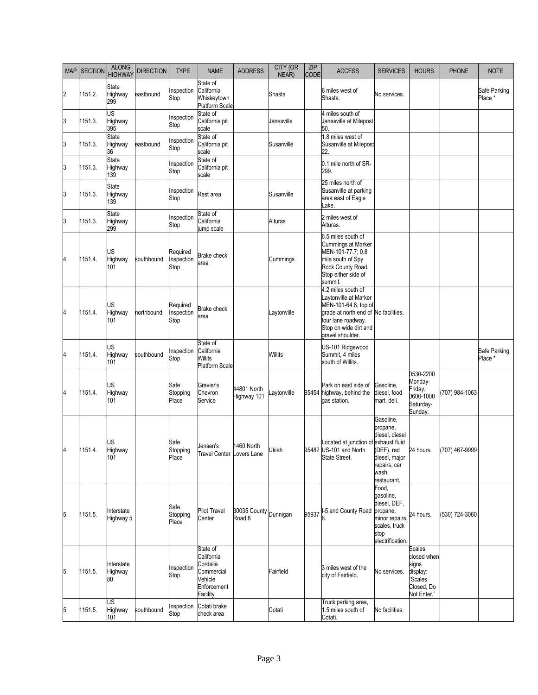| <b>MAP</b> | <b>SECTION</b> | <b>ALONG</b><br><b>HIGHWAY</b> | <b>DIRECTION</b> | <b>TYPE</b>                    | <b>NAME</b>                                                                            | <b>ADDRESS</b>             | <b>CITY (OR</b><br>NEAR) | ZIP<br>CODE | <b>ACCESS</b>                                                                                                                                                                  | <b>SERVICES</b>                                                                                                                 | <b>HOURS</b>                                                                       | <b>PHONE</b>   | <b>NOTE</b>             |
|------------|----------------|--------------------------------|------------------|--------------------------------|----------------------------------------------------------------------------------------|----------------------------|--------------------------|-------------|--------------------------------------------------------------------------------------------------------------------------------------------------------------------------------|---------------------------------------------------------------------------------------------------------------------------------|------------------------------------------------------------------------------------|----------------|-------------------------|
| 2          | 1151.2.        | State<br>Highway<br>299        | eastbound        | Inspection<br>Stop             | State of<br>California<br>Whiskeytown<br><b>Platform Scale</b>                         |                            | Shasta                   |             | 6 miles west of<br>Shasta.                                                                                                                                                     | No services.                                                                                                                    |                                                                                    |                | Safe Parking<br>Place * |
| 3          | 1151.3.        | US<br>Highway<br>395           |                  | Inspection<br>Stop             | State of<br>California pit<br>scale                                                    |                            | Janesville               |             | 4 miles south of<br>Janesville at Milepost<br>50.                                                                                                                              |                                                                                                                                 |                                                                                    |                |                         |
| 3          | 1151.3.        | <b>State</b><br>Highway<br>36  | eastbound        | Inspection<br>Stop             | State of<br>California pit<br>scale                                                    |                            | Susanville               |             | 1.8 miles west of<br>Susanville at Milepost<br>22.                                                                                                                             |                                                                                                                                 |                                                                                    |                |                         |
| 3          | 1151.3.        | <b>State</b><br>Highway<br>139 |                  | Inspection<br>Stop             | State of<br>California pit<br>scale                                                    |                            |                          |             | 0.1 mile north of SR-<br>299.                                                                                                                                                  |                                                                                                                                 |                                                                                    |                |                         |
| 3          | 1151.3.        | <b>State</b><br>Highway<br>139 |                  | Inspection<br>Stop             | Rest area                                                                              |                            | Susanville               |             | 25 miles north of<br>Susanville at parking<br>area east of Eagle<br>.ake.                                                                                                      |                                                                                                                                 |                                                                                    |                |                         |
| 3          | 1151.3.        | <b>State</b><br>Highway<br>299 |                  | Inspection<br>Stop             | State of<br>California<br>ump scale                                                    |                            | Alturas                  |             | 2 miles west of<br>Alturas.                                                                                                                                                    |                                                                                                                                 |                                                                                    |                |                         |
| 4          | 1151.4.        | US<br>Highway<br>101           | southbound       | Required<br>Inspection<br>Stop | <b>Brake check</b><br>area                                                             |                            | Cummings                 |             | 6.5 miles south of<br>Cummings at Marker<br>MEN-101-77.7; 0.8<br>mile south of Spy<br>Rock County Road.<br>Stop either side of<br>summit.                                      |                                                                                                                                 |                                                                                    |                |                         |
| 4          | 1151.4.        | US<br>Highway<br>101           | northbound       | Required<br>Inspection<br>Stop | Brake check<br>area                                                                    |                            | Laytonville              |             | 4.2 miles south of<br>Laytonville at Marker<br>MEN-101-64.8, top of<br>grade at north end of No facilities.<br>four lane roadway.<br>Stop on wide dirt and<br>gravel shoulder. |                                                                                                                                 |                                                                                    |                |                         |
| 4          | 1151.4.        | US<br>Highway<br>101           | southbound       | Inspection<br>Stop             | State of<br>California<br>Willits<br><b>Platform Scale</b>                             |                            | Willits                  |             | US-101 Ridgewood<br>Summit, 4 miles<br>south of Willits.                                                                                                                       |                                                                                                                                 |                                                                                    |                | Safe Parking<br>Place * |
| 4          | 1151.4.        | US<br>Highway<br>101           |                  | Safe<br>Stopping<br>Place      | Gravier's<br>Chevron<br>Service                                                        | 44801 North<br>Highway 101 | .aytonville              |             | Park on east side of<br>95454 highway, behind the<br>gas station.                                                                                                              | Gasoline,<br>diesel, food<br>mart, deli.                                                                                        | 0530-2200<br>Monday-<br>Friday,<br>0600-1000<br>Saturday-<br>Sunday.               | (707) 984-1063 |                         |
| 4          | 1151.4.        | US<br>Highway<br>101           |                  | Safe<br>Stopping<br>Place      | Jensen's<br><b>Travel Center Lovers Lane</b>                                           | 1460 North                 | Ukiah                    |             | ocated at junction of<br>95482 US-101 and North<br>State Street.                                                                                                               | Gasoline,<br>propane,<br>diesel, diesel<br>exhaust fluid<br>(DEF), red<br>diesel, major<br>repairs, car<br>wash,<br>restaurant. | 24 hours.                                                                          | (707) 467-9999 |                         |
| 5          | 1151.5.        | Interstate<br>Highway 5        |                  | Safe<br>Stopping<br>Place      | <b>Pilot Travel</b><br>Center                                                          | 30035 County<br>Road 8     | Dunnigan                 |             | 95937 -5 and County Road                                                                                                                                                       | Food,<br>gasoline,<br>diesel, DEF,<br>propane,<br>minor repairs,<br>scales, truck<br>stop<br>electrification.                   | 24 hours.                                                                          | (530) 724-3060 |                         |
| 5          | 1151.5.        | Interstate<br>Highway<br>80    |                  | Inspection<br>Stop             | State of<br>California<br>Cordelia<br>Commercial<br>Vehicle<br>Enforcement<br>Facility |                            | Fairfield                |             | 3 miles west of the<br>city of Fairfield.                                                                                                                                      | No services.                                                                                                                    | Scales<br>closed when<br>signs<br>display:<br>'Scales<br>Closed, Do<br>Not Enter." |                |                         |
| 5          | 1151.5.        | US<br>Highway<br>101           | southbound       | Inspection<br>Stop             | Cotati brake<br>check area                                                             |                            | Cotati                   |             | Truck parking area,<br>1.5 miles south of<br>Cotati.                                                                                                                           | No facilities.                                                                                                                  |                                                                                    |                |                         |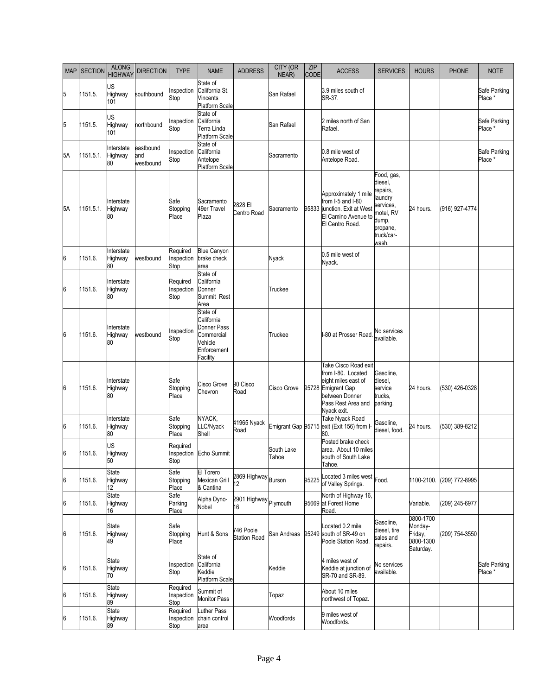| <b>MAP</b> | <b>SECTION</b> | <b>ALONG</b><br><b>HIGHWAY</b>  | <b>DIRECTION</b>              | <b>TYPE</b>                    | <b>NAME</b>                                                                               | <b>ADDRESS</b>                   | <b>CITY (OR</b><br>NEAR)        | ZIP<br>CODE | <b>ACCESS</b>                                                                                                                                  | <b>SERVICES</b>                                                                                                    | <b>HOURS</b>                                              | <b>PHONE</b>   | <b>NOTE</b>             |
|------------|----------------|---------------------------------|-------------------------------|--------------------------------|-------------------------------------------------------------------------------------------|----------------------------------|---------------------------------|-------------|------------------------------------------------------------------------------------------------------------------------------------------------|--------------------------------------------------------------------------------------------------------------------|-----------------------------------------------------------|----------------|-------------------------|
| 5          | 1151.5.        | US<br>Highway<br>101            | southbound                    | Inspection<br>Stop             | State of<br>California St.<br>Vincents<br><b>Platform Scale</b>                           |                                  | San Rafael                      |             | 3.9 miles south of<br>SR-37.                                                                                                                   |                                                                                                                    |                                                           |                | Safe Parking<br>Place * |
| 5          | 1151.5.        | US<br>Highway<br>101            | northbound                    | Inspection<br>Stop             | State of<br>California<br>Terra Linda<br>Platform Scale                                   |                                  | San Rafael                      |             | 2 miles north of San<br>Rafael.                                                                                                                |                                                                                                                    |                                                           |                | Safe Parking<br>Place * |
| 5A         | 1151.5.1.      | Interstate<br>Highway<br>80     | eastbound<br>and<br>westbound | Inspection<br>Stop             | State of<br>California<br>Antelope<br><b>Platform Scale</b>                               |                                  | Sacramento                      |             | 0.8 mile west of<br>Antelope Road.                                                                                                             |                                                                                                                    |                                                           |                | Safe Parking<br>Place * |
| 5A         | 1151.5.1.      | Interstate<br>Highway<br>80     |                               | Safe<br>Stopping<br>Place      | Sacramento<br>49er Travel<br>Plaza                                                        | 2828 EI<br>Centro Road           | Sacramento                      |             | Approximately 1 mile<br>from I-5 and I-80<br>95833 junction. Exit at West<br>El Camino Avenue to<br>El Centro Road.                            | Food, gas,<br>diesel,<br>repairs,<br>laundry<br>services,<br>motel, RV<br>dump,<br>propane,<br>truck/car-<br>wash. | 24 hours.                                                 | (916) 927-4774 |                         |
| 6          | 1151.6.        | Interstate<br>Highway<br>80     | westbound                     | Required<br>Inspection<br>Stop | <b>Blue Canyon</b><br>brake check<br>area                                                 |                                  | Nyack                           |             | 0.5 mile west of<br>Nyack.                                                                                                                     |                                                                                                                    |                                                           |                |                         |
| 6          | 1151.6.        | Interstate<br>Highway<br>80     |                               | Required<br>Inspection<br>Stop | State of<br>California<br>Donner<br>Summit Rest<br>Area                                   |                                  | Truckee                         |             |                                                                                                                                                |                                                                                                                    |                                                           |                |                         |
| 6          | 1151.6.        | Interstate<br>Highway<br>80     | westbound                     | Inspection<br>Stop             | State of<br>California<br>Donner Pass<br>Commercial<br>Vehicle<br>Enforcement<br>Facility |                                  | Truckee                         |             | -80 at Prosser Road                                                                                                                            | No services<br>available.                                                                                          |                                                           |                |                         |
| 6          | 1151.6.        | Interstate<br>Highway<br>80     |                               | Safe<br>Stopping<br>Place      | Cisco Grove<br>Chevron                                                                    | 90 Cisco<br>Road                 | Cisco Grove                     |             | Take Cisco Road exit<br>from I-80. Located<br>eight miles east of<br>95728 Emigrant Gap<br>between Donner<br>Pass Rest Area and<br>Nyack exit. | Gasoline,<br>diesel,<br>service<br>trucks,<br>parking.                                                             | 24 hours.                                                 | (530) 426-0328 |                         |
| 6          | 1151.6.        | Interstate<br>Highway<br>80     |                               | Safe<br>Stopping<br>Place      | NYACK,<br>LLC/Nyack<br>Shell                                                              | 41965 Nyack<br>Road              |                                 |             | <b>Take Nyack Road</b><br>Emigrant Gap 95715 exit (Exit 156) from I-<br>80.                                                                    | Gasoline,<br>diesel, food.                                                                                         | 24 hours.                                                 | (530) 389-8212 |                         |
| 6          | 1151.6.        | JS<br>Highway<br>$50^{\degree}$ |                               | Required<br>Stop               | Inspection Echo Summit                                                                    |                                  | South Lake<br><sup>-</sup> ahoe |             | Posted brake check<br>area. About 10 miles<br>south of South Lake<br>Tahoe.                                                                    |                                                                                                                    |                                                           |                |                         |
| 6          | 1151.6.        | State<br>Highway<br>12          |                               | Safe<br>Stopping<br>Place      | El Torero<br>Mexican Grill<br>& Cantina                                                   | 2869 Highway Burson<br>12        |                                 | 95225       | ocated 3 miles west<br>of Valley Springs.                                                                                                      | Food.                                                                                                              | 1100-2100.                                                | (209) 772-8995 |                         |
| 6          | 1151.6.        | State<br>Highway<br>16          |                               | Safe<br>Parking<br>Place       | Alpha Dyno-<br>Nobel                                                                      | 2901 Highway Plymouth<br>16      |                                 |             | North of Highway 16,<br>95669 at Forest Home<br>Road.                                                                                          |                                                                                                                    | Variable.                                                 | (209) 245-6977 |                         |
| 6          | 1151.6.        | State<br>Highway<br>49          |                               | Safe<br>Stopping<br>Place      | Hunt & Sons                                                                               | 746 Poole<br><b>Station Road</b> | San Andreas                     |             | ocated 0.2 mile<br>95249 south of SR-49 on<br>Poole Station Road.                                                                              | Gasoline,<br>diesel, tire<br>sales and<br>repairs.                                                                 | 0800-1700<br>Monday-<br>Friday,<br>0800-1300<br>Saturday. | (209) 754-3550 |                         |
| 6          | 1151.6.        | State<br>Highway<br>70          |                               | Inspection<br>Stop             | State of<br>California<br>Keddie<br><b>Platform Scale</b>                                 |                                  | Keddie                          |             | 4 miles west of<br>Keddie at junction of<br>SR-70 and SR-89.                                                                                   | <b>No services</b><br>available.                                                                                   |                                                           |                | Safe Parking<br>Place * |
| 6          | 1151.6.        | State<br>Highway<br>89          |                               | Required<br>Inspection<br>Stop | Summit of<br><b>Monitor Pass</b>                                                          |                                  | Topaz                           |             | About 10 miles<br>northwest of Topaz.                                                                                                          |                                                                                                                    |                                                           |                |                         |
| 6          | 1151.6.        | State<br>Highway<br>89          |                               | Required<br>Inspection<br>Stop | uther Pass<br>chain control<br>area                                                       |                                  | Woodfords                       |             | 9 miles west of<br>Woodfords.                                                                                                                  |                                                                                                                    |                                                           |                |                         |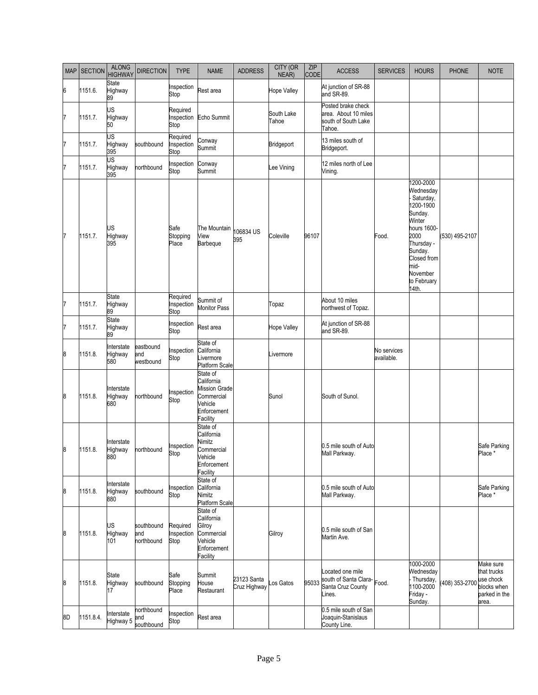| <b>MAP</b> | <b>SECTION</b> | <b>ALONG</b><br><b>HIGHWAY</b> | <b>DIRECTION</b>                | <b>TYPE</b>                    | <b>NAME</b>                                                                                        | <b>ADDRESS</b>              | <b>CITY (OR</b><br>NEAR) | ZIP<br>CODE | <b>ACCESS</b>                                                               | <b>SERVICES</b>           | <b>HOURS</b>                                                                                                                                                                     | PHONE          | <b>NOTE</b>                                                                    |
|------------|----------------|--------------------------------|---------------------------------|--------------------------------|----------------------------------------------------------------------------------------------------|-----------------------------|--------------------------|-------------|-----------------------------------------------------------------------------|---------------------------|----------------------------------------------------------------------------------------------------------------------------------------------------------------------------------|----------------|--------------------------------------------------------------------------------|
| 6          | 1151.6.        | State<br>Highway<br>89         |                                 | Inspection<br>Stop             | Rest area                                                                                          |                             | <b>Hope Valley</b>       |             | At junction of SR-88<br>and SR-89.                                          |                           |                                                                                                                                                                                  |                |                                                                                |
| 7          | 1151.7.        | US<br>Highway<br>50            |                                 | Required<br>Inspection<br>Stop | <b>Echo Summit</b>                                                                                 |                             | South Lake<br>Tahoe      |             | Posted brake check<br>area. About 10 miles<br>south of South Lake<br>Tahoe. |                           |                                                                                                                                                                                  |                |                                                                                |
| 17         | 1151.7.        | US<br>Highway<br>395           | southbound                      | Required<br>Inspection<br>Stop | Conway<br>Summit                                                                                   |                             | Bridgeport               |             | 13 miles south of<br>Bridgeport.                                            |                           |                                                                                                                                                                                  |                |                                                                                |
|            | 1151.7.        | US<br>Highway<br>395           | northbound                      | Inspection<br>Stop             | Conway<br>Summit                                                                                   |                             | ee Vining                |             | 12 miles north of Lee<br>Vining.                                            |                           |                                                                                                                                                                                  |                |                                                                                |
| 7          | 1151.7.        | US<br>Highway<br>395           |                                 | Safe<br>Stopping<br>Place      | The Mountain<br>View<br>Barbeque                                                                   | 106834 US<br>395            | Coleville                | 96107       |                                                                             | Food.                     | 1200-2000<br>Wednesday<br>Saturday,<br>1200-1900<br>Sunday.<br>Winter<br>hours 1600-<br>2000<br>Thursday -<br>Sunday.<br>Closed from<br>mid-<br>November<br>to February<br>14th. | (530) 495-2107 |                                                                                |
| 7          | 1151.7.        | State<br>Highway<br>89         |                                 | Required<br>Inspection<br>Stop | Summit of<br><b>Monitor Pass</b>                                                                   |                             | Topaz                    |             | About 10 miles<br>northwest of Topaz.                                       |                           |                                                                                                                                                                                  |                |                                                                                |
| 17         | 1151.7.        | State<br>Highway<br>89         |                                 | Inspection<br>Stop             | Rest area                                                                                          |                             | Hope Valley              |             | At junction of SR-88<br>and SR-89.                                          |                           |                                                                                                                                                                                  |                |                                                                                |
| 8          | 1151.8.        | Interstate<br>Highway<br>580   | eastbound<br>and<br>westbound   | Inspection<br>Stop             | State of<br>California<br>_ivermore<br><b>Platform Scale</b>                                       |                             | _ivermore                |             |                                                                             | No services<br>available. |                                                                                                                                                                                  |                |                                                                                |
| 8          | 1151.8.        | Interstate<br>Highway<br>680   | northbound                      | Inspection<br>Stop             | State of<br>California<br><b>Mission Grade</b><br>Commercial<br>Vehicle<br>Enforcement<br>Facility |                             | Sunol                    |             | South of Sunol.                                                             |                           |                                                                                                                                                                                  |                |                                                                                |
| 8          | 1151.8.        | Interstate<br>Highway<br>880   | northbound                      | Inspection<br>Stop             | State of<br>California<br>Nimitz<br>Commercial<br>Vehicle<br>Enforcement<br>Facility               |                             |                          |             | 0.5 mile south of Auto<br>Mall Parkway.                                     |                           |                                                                                                                                                                                  |                | Safe Parking<br>Place *                                                        |
| 8          | 1151.8.        | Interstate<br>Highway<br>880   | southbound                      | Inspection<br>Stop             | State of<br>California<br>Nimitz<br><b>Platform Scale</b>                                          |                             |                          |             | 0.5 mile south of Auto<br>Mall Parkway.                                     |                           |                                                                                                                                                                                  |                | Safe Parking<br>Place *                                                        |
| 8          | 1151.8.        | US<br>Highway<br>101           | southbound<br>and<br>northbound | Required<br>Inspection<br>Stop | State of<br>California<br>Gilroy<br>Commercial<br>Vehicle<br>Enforcement<br>Facility               |                             | Gilroy                   |             | 0.5 mile south of San<br>Martin Ave.                                        |                           |                                                                                                                                                                                  |                |                                                                                |
| 8          | 1151.8.        | State<br>Highway<br>17         | southbound                      | Safe<br>Stopping<br>Place      | Summit<br>House<br>Restaurant                                                                      | 23123 Santa<br>Cruz Highway | os Gatos                 | 95033       | Located one mile<br>south of Santa Clara-<br>Santa Cruz County<br>_ines.    | ood.-                     | 1000-2000<br>Wednesday<br>Thursday,<br>1100-2000<br>Friday -<br>Sunday.                                                                                                          | (408) 353-2700 | Make sure<br>that trucks<br>use chock<br>blocks when<br>parked in the<br>area. |
| 8D         | 1151.8.4.      | Interstate<br>Highway 5        | northbound<br>and<br>southbound | Inspection<br>Stop             | Rest area                                                                                          |                             |                          |             | 0.5 mile south of San<br>Joaquin-Stanislaus<br>County Line.                 |                           |                                                                                                                                                                                  |                |                                                                                |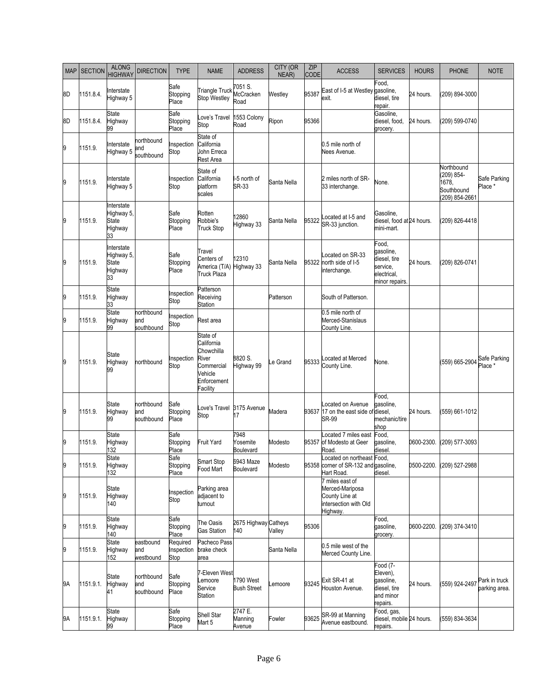| <b>MAP</b> | <b>SECTION</b> | <b>ALONG</b><br><b>HIGHWAY</b>                     | <b>DIRECTION</b>                | <b>TYPE</b>                    | <b>NAME</b>                                                                                       | <b>ADDRESS</b>                       | <b>CITY (OR</b><br>NEAR) | ZIP<br><b>CODE</b> | <b>ACCESS</b>                                                                             | <b>SERVICES</b>                                                                 | <b>HOURS</b> | <b>PHONE</b>                                                      | <b>NOTE</b>                        |
|------------|----------------|----------------------------------------------------|---------------------------------|--------------------------------|---------------------------------------------------------------------------------------------------|--------------------------------------|--------------------------|--------------------|-------------------------------------------------------------------------------------------|---------------------------------------------------------------------------------|--------------|-------------------------------------------------------------------|------------------------------------|
| 8D         | 1151.8.4.      | Interstate<br>Highway 5                            |                                 | Safe<br>Stopping<br>Place      | Triangle Truck<br><b>Stop Westley</b>                                                             | 7051 S.<br>McCracken<br>Road         | Westley                  | 95387              | East of I-5 at Westley<br>exit.                                                           | Food,<br>gasoline,<br>diesel, tire<br>repair.                                   | 24 hours.    | (209) 894-3000                                                    |                                    |
| 8D         | 1151.8.4.      | State<br>Highway<br>99                             |                                 | Safe<br>Stopping<br>Place      | ove's Travel<br>Stop                                                                              | 1553 Colony<br>Road                  | Ripon                    | 95366              |                                                                                           | Gasoline,<br>diesel, food,<br>grocery.                                          | 24 hours.    | (209) 599-0740                                                    |                                    |
| 9          | 1151.9.        | Interstate<br>Highway 5                            | northbound<br>and<br>southbound | Inspection<br>Stop             | State of<br>California<br>John Erreca<br>Rest Area                                                |                                      |                          |                    | 0.5 mile north of<br>Nees Avenue.                                                         |                                                                                 |              |                                                                   |                                    |
| 9          | 1151.9.        | Interstate<br>Highway 5                            |                                 | Inspection<br>Stop             | State of<br>California<br>platform<br>scales                                                      | -5 north of<br><b>SR-33</b>          | Santa Nella              |                    | 2 miles north of SR-<br>33 interchange.                                                   | None.                                                                           |              | Northbound<br>(209) 854-<br>1678,<br>Southbound<br>(209) 854-2661 | Safe Parking<br>Place <sup>*</sup> |
| 9          | 1151.9.        | Interstate<br>Highway 5,<br>State<br>Highway<br>33 |                                 | Safe<br>Stopping<br>Place      | Rotten<br>Robbie's<br><b>Truck Stop</b>                                                           | 12860<br>Highway 33                  | Santa Nella              | 95322              | ocated at I-5 and<br>SR-33 junction.                                                      | Gasoline,<br>diesel, food at 24 hours.<br>mini-mart.                            |              | (209) 826-4418                                                    |                                    |
| 9          | 1151.9.        | Interstate<br>Highway 5,<br>State<br>Highway<br>33 |                                 | Safe<br>Stopping<br>Place      | Travel<br>Centers of<br>America (T/A) Highway 33<br>Truck Plaza                                   | 2310                                 | Santa Nella              |                    | ocated on SR-33<br>95322 north side of I-5<br>interchange.                                | Food,<br>qasoline,<br>diesel, tire<br>service,<br>electrical,<br>minor repairs. | 24 hours.    | (209) 826-0741                                                    |                                    |
| 9          | 1151.9.        | State<br>Highway<br>33                             |                                 | Inspection<br>Stop             | Patterson<br>Receiving<br>Station                                                                 |                                      | Patterson                |                    | South of Patterson.                                                                       |                                                                                 |              |                                                                   |                                    |
| 9          | 1151.9.        | <b>State</b><br>Highway<br>99                      | northbound<br>and<br>southbound | Inspection<br>Stop             | Rest area                                                                                         |                                      |                          |                    | 0.5 mile north of<br>Merced-Stanislaus<br>County Line.                                    |                                                                                 |              |                                                                   |                                    |
| 9          | 1151.9.        | State<br>Highway<br>99                             | northbound                      | Inspection<br>Stop             | State of<br>California<br>Chowchilla<br>River<br>Commercial<br>/ehicle<br>Enforcement<br>Facility | 8820 S.<br>Highway 99                | e Grand.                 | 95333              | Located at Merced<br>County Line.                                                         | None.                                                                           |              | (559) 665-2904                                                    | Safe Parking<br>Place *            |
| 9          | 1151.9.        | State<br>Highway<br>99                             | northbound<br>and<br>southbound | Safe<br>Stopping<br>Place      | ove's Travel<br>Stop                                                                              | 3175 Avenue<br>17                    | Madera                   |                    | ocated on Avenue<br>93637 17 on the east side of diesel.<br><b>SR-99</b>                  | Food.<br>qasoline,<br>mechanic/tire<br>shop                                     | 24 hours.    | (559) 661-1012                                                    |                                    |
| 9          | 1151.9.        | State<br>Highway<br>132                            |                                 | Safe<br>Stopping<br>Place      | Fruit Yard                                                                                        | '948<br>Yosemite<br><b>Boulevard</b> | Modesto                  | 95357              | ocated 7 miles east<br>of Modesto at Geer<br>Road.                                        | Food,<br>gasoline,<br>diesel.                                                   | 0600-2300.   | (209) 577-3093                                                    |                                    |
| 9          | 1151.9.        | State<br>Highway<br>132                            |                                 | Sate<br>Stopping<br>Place      | <b>Smart Stop</b><br><b>Food Mart</b>                                                             | 6943 Maze<br><b>Boulevard</b>        | Modesto                  |                    | Located on northeast ⊩ood,<br>95358 corner of SR-132 and gasoline,<br>Hart Road.          | diesel.                                                                         | 0500-2200.   | (209) 527-2988                                                    |                                    |
| 9          | 1151.9.        | State<br>Highway<br>140                            |                                 | Inspection<br>Stop             | Parking area<br>adjacent to<br>turnout                                                            |                                      |                          |                    | 7 miles east of<br>Merced-Mariposa<br>County Line at<br>intersection with Old<br>Highway. |                                                                                 |              |                                                                   |                                    |
| 9          | 1151.9.        | State<br>Highway<br>140                            |                                 | Safe<br>Stopping<br>Place      | The Oasis<br>Gas Station                                                                          | 2675 Highway Catheys<br>140          | Valley                   | 95306              |                                                                                           | Food,<br>gasoline,<br>grocery.                                                  | 0600-2200.   | (209) 374-3410                                                    |                                    |
| 9          | 1151.9.        | State<br>Highway<br>152                            | eastbound<br>and<br>westbound   | Required<br>Inspection<br>Stop | Pacheco Pass<br>brake check<br>area                                                               |                                      | Santa Nella              |                    | 0.5 mile west of the<br>Merced County Line.                                               |                                                                                 |              |                                                                   |                                    |
| 9Α         | 1151.9.1.      | State<br>Highway<br>41                             | northbound<br>and<br>southbound | Safe<br>Stopping<br>Place      | 7-Eleven West<br>emoore<br>Service<br><b>Station</b>                                              | 1790 West<br><b>Bush Street</b>      | emoore                   | 93245              | Exit SR-41 at<br>Houston Avenue.                                                          | Food (7-<br>Eleven),<br>gasoline,<br>diesel, tire<br>and minor<br>repairs.      | 24 hours.    | (559) 924-2497                                                    | Park in truck<br>parking area.     |
| 9Α         | 1151.9.1.      | State<br>Highway<br>99                             |                                 | Safe<br>Stopping<br>Place      | Shell Star<br>Mart 5                                                                              | 2747 E.<br>Manning<br>Avenue         | Fowler                   | 93625              | SR-99 at Manning<br>Avenue eastbound.                                                     | Food, gas,<br>diesel, mobile 24 hours.<br>repairs.                              |              | (559) 834-3634                                                    |                                    |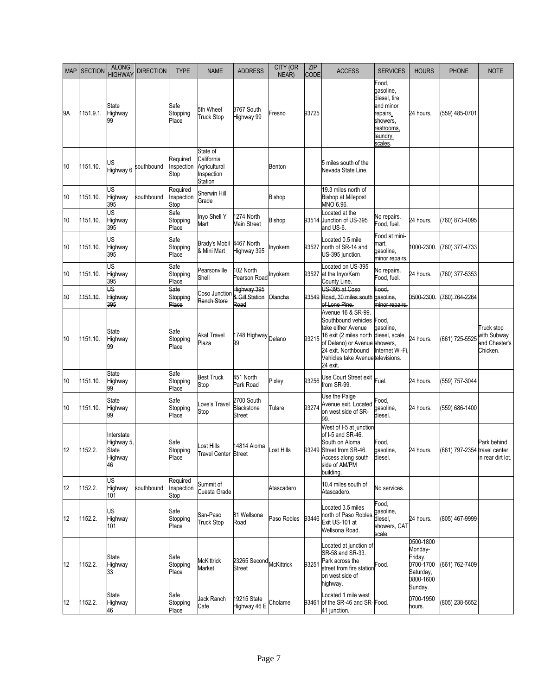| <b>MAP</b> | <b>SECTION</b> | <b>ALONG</b><br><b>HIGHWAY</b>                     | <b>DIRECTION</b> | <b>TYPE</b>                    | <b>NAME</b>                                                     | <b>ADDRESS</b>                            | <b>CITY (OR</b><br>NEAR) | ZIP<br>CODE | <b>ACCESS</b>                                                                                                                                                                                      | <b>SERVICES</b>                                                                                             | <b>HOURS</b>                                                                      | <b>PHONE</b>                 | <b>NOTE</b>                                            |
|------------|----------------|----------------------------------------------------|------------------|--------------------------------|-----------------------------------------------------------------|-------------------------------------------|--------------------------|-------------|----------------------------------------------------------------------------------------------------------------------------------------------------------------------------------------------------|-------------------------------------------------------------------------------------------------------------|-----------------------------------------------------------------------------------|------------------------------|--------------------------------------------------------|
| 9A         | 1151.9.1.      | State<br>Highway<br>99                             |                  | Safe<br>Stopping<br>Place      | 5th Wheel<br><b>Truck Stop</b>                                  | 3767 South<br>Highway 99                  | Fresno                   | 93725       |                                                                                                                                                                                                    | Food,<br>gasoline,<br>diesel, tire<br>and minor<br>repairs,<br>showers,<br>restrooms,<br>laundry,<br>scales | 24 hours.                                                                         | (559) 485-0701               |                                                        |
| 10         | 1151.10.       | US<br>Highway 6                                    | southbound       | Required<br>Inspection<br>Stop | State of<br>California<br>Agricultural<br>Inspection<br>Station |                                           | Benton                   |             | 5 miles south of the<br>Nevada State Line.                                                                                                                                                         |                                                                                                             |                                                                                   |                              |                                                        |
| 10         | 1151.10.       | US<br>Highway<br>395                               | southbound       | Required<br>Inspection<br>Stop | Sherwin Hill<br>Grade                                           |                                           | Bishop                   |             | 19.3 miles north of<br><b>Bishop at Milepost</b><br>MNO 6.96.                                                                                                                                      |                                                                                                             |                                                                                   |                              |                                                        |
| 10         | 1151.10.       | US<br>Highway<br>395                               |                  | Safe<br>Stopping<br>Place      | Inyo Shell Y<br>Mart                                            | 1274 North<br><b>Main Street</b>          | Bishop                   |             | ocated at the<br>93514 Junction of US-395<br>and US-6.                                                                                                                                             | No repairs.<br>Food, fuel.                                                                                  | 24 hours.                                                                         | (760) 873-4095               |                                                        |
| 10         | 1151.10.       | US<br>Highway<br>395                               |                  | Safe<br>Stopping<br>Place      | Brady's Mobil<br>& Mini Mart                                    | 4467 North<br>Highway 395                 | nyokern                  |             | ocated 0.5 mile<br>93527 north of SR-14 and<br>US-395 junction.                                                                                                                                    | Food at mini-<br>mart,<br>gasoline,<br>minor repairs.                                                       | 1000-2300.                                                                        | (760) 377-4733               |                                                        |
| 10         | 1151.10.       | US<br>Highway<br>395                               |                  | Safe<br>Stopping<br>Place      | Pearsonville<br>Shell                                           | 102 North<br>Pearson Road                 | nyokern                  |             | ocated on US-395<br>93527 at the Inyo/Kern<br>County Line.                                                                                                                                         | No repairs.<br>Food, fuel.                                                                                  | 24 hours.                                                                         | (760) 377-5353               |                                                        |
| 10         | 1151.10.       | US<br>Highway<br>395                               |                  | Safe<br>Stopping<br>Place      | Coso Junction<br>Ranch Store                                    | Highway 395<br>& Gill Station<br>Road     | Olancha                  |             | US-395 at Coso<br>93549 Road, 30 miles south<br>of Lone Pine.                                                                                                                                      | Food.<br>qasoline,<br>minor repairs.                                                                        | 0500-2300.                                                                        | (760) 764-2264               |                                                        |
| 10         | 1151.10.       | State<br>Highway<br>99                             |                  | Safe<br>Stopping<br>Place      | Akal Travel<br>Plaza                                            | 1748 Highway Delano<br>99                 |                          | 93215       | Avenue 16 & SR-99.<br>Southbound vehicles<br>take either Avenue<br>16 exit (2 miles north<br>of Delano) or Avenue showers,<br>24 exit. Northbound<br>Vehicles take Avenue televisions.<br>24 exit. | Food,<br>qasoline.<br>diesel, scale,<br>Internet Wi-Fi.                                                     | 24 hours.                                                                         | (661) 725-5525               | Truck stop<br>with Subway<br>and Chester's<br>Chicken. |
| 10         | 1151.10.       | <b>State</b><br>Highway<br>99                      |                  | Safe<br>Stopping<br>Place      | <b>Best Truck</b><br>Stop                                       | 451 North<br>Park Road                    | Pixley                   | 93256       | Use Court Street exit<br>from SR-99.                                                                                                                                                               | Fuel.                                                                                                       | 24 hours.                                                                         | (559) 757-3044               |                                                        |
| 10         | 1151.10.       | State<br>Highway<br>99                             |                  | Safe<br>Stopping<br>Place      | Love's Travel<br>Stop                                           | 2700 South<br><b>Blackstone</b><br>Street | Tulare                   | 93274       | Use the Paige<br>Avenue exit. Located<br>on west side of SR-<br>99.                                                                                                                                | Food,<br>qasoline,<br>diesel.                                                                               | 24 hours.                                                                         | (559) 686-1400               |                                                        |
| 12         | 1152.2.        | Interstate<br>Highway 5,<br>State<br>Highway<br>46 |                  | Safe<br>Stopping<br>Place      | ost Hills<br><b>Travel Center Street</b>                        | 14814 Aloma                               | Lost Hills               |             | West of I-5 at junction<br>of I-5 and SR-46.<br>South on Aloma<br>93249 Street from SR-46.<br>Access along south<br>side of AM/PM<br>building.                                                     | Food.<br>gasoline,<br>diesel.                                                                               | 24 hours.                                                                         | (661) 797-2354 travel center | Park behind<br>in rear dirt lot.                       |
| 12         | 1152.2.        | US<br>Highway<br>101                               | southbound       | Required<br>Inspection<br>Stop | Summit of<br>Cuesta Grade                                       |                                           | Atascadero               |             | 10.4 miles south of<br>Atascadero.                                                                                                                                                                 | No services.                                                                                                |                                                                                   |                              |                                                        |
| 12         | 1152.2.        | US<br>Highway<br>101                               |                  | Safe<br>Stopping<br>Place      | San-Paso<br><b>Truck Stop</b>                                   | 81 Wellsona<br>Road                       | Paso Robles              | 93446       | Located 3.5 miles<br>north of Paso Robles<br>Exit US-101 at<br>Wellsona Road.                                                                                                                      | Food,<br>gasoline.<br>diesel,<br>showers, CAT<br>scale.                                                     | 24 hours.                                                                         | (805) 467-9999               |                                                        |
| 12         | 1152.2.        | State<br>Highway<br>33                             |                  | Safe<br>Stopping<br>Place      | McKittrick<br>Market                                            | 23265 Second McKittrick<br><b>Street</b>  |                          | 93251       | Located at junction of<br>SR-58 and SR-33.<br>Park across the<br>street from fire station<br>on west side of<br>highway.                                                                           | Food.                                                                                                       | 0500-1800<br>Monday-<br>Friday,<br>0700-1700<br>Saturday,<br>0800-1600<br>Sunday. | (661) 762-7409               |                                                        |
| 12         | 1152.2.        | State<br>Highway<br>46                             |                  | Safe<br>Stopping<br>Place      | Jack Ranch<br>Cafe                                              | 19215 State<br>Highway 46 E               | Cholame                  |             | ocated 1 mile west<br>93461 of the SR-46 and SR-Food.<br>41 junction.                                                                                                                              |                                                                                                             | 0700-1950<br>hours.                                                               | (805) 238-5652               |                                                        |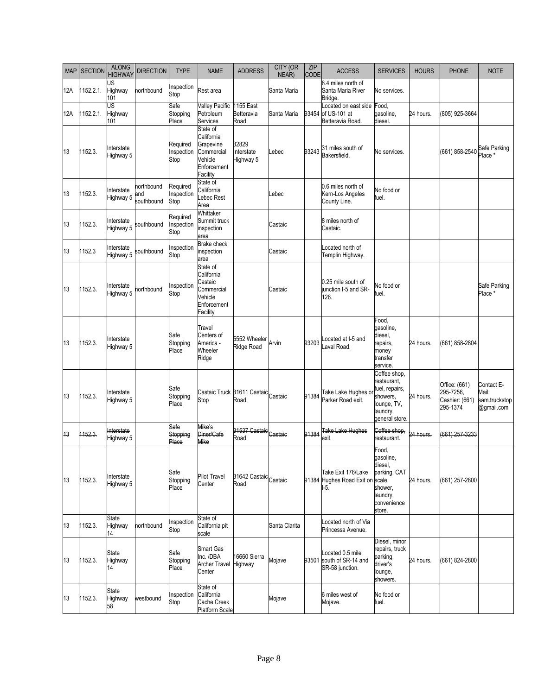| <b>MAP</b> | <b>SECTION</b> | <b>ALONG</b><br><b>HIGHWAY</b> | <b>DIRECTION</b>                | <b>TYPE</b>                      | <b>NAME</b>                                                                             | <b>ADDRESS</b>                         | <b>CITY (OR</b><br>NEAR) | ZIP<br><b>CODE</b> | <b>ACCESS</b>                                                  | <b>SERVICES</b>                                                                                      | <b>HOURS</b> | <b>PHONE</b>                                             | <b>NOTE</b>                                        |
|------------|----------------|--------------------------------|---------------------------------|----------------------------------|-----------------------------------------------------------------------------------------|----------------------------------------|--------------------------|--------------------|----------------------------------------------------------------|------------------------------------------------------------------------------------------------------|--------------|----------------------------------------------------------|----------------------------------------------------|
| 12A        | 1152.2.1.      | JS<br>Highway<br>101           | northbound                      | Inspection<br>Stop               | Rest area                                                                               |                                        | Santa Maria              |                    | 8.4 miles north of<br>Santa Maria River<br>Bridge.             | No services.                                                                                         |              |                                                          |                                                    |
| 12A        | 1152.2.1.      | US<br>Highway<br>101           |                                 | Safe<br>Stopping<br>Place        | <b>Valley Pacific</b><br>Petroleum<br>Services                                          | 1155 East<br><b>Betteravia</b><br>Road | Santa Maria              |                    | ocated on east side<br>93454 of US-101 at<br>Betteravia Road.  | Food,<br>qasoline,<br>diesel                                                                         | 24 hours.    | (805) 925-3664                                           |                                                    |
| 13         | 1152.3.        | Interstate<br>Highway 5        |                                 | Required<br>Inspection<br>Stop   | State of<br>California<br>Grapevine<br>Commercial<br>Vehicle<br>Enforcement<br>Facility | 32829<br>Interstate<br>Highway 5       | .ebec                    | 93243              | 31 miles south of<br>Bakersfield.                              | No services.                                                                                         |              | 661) 858-2540 Safe Parking                               |                                                    |
| 13         | 1152.3.        | Interstate<br>Highway 5        | northbound<br>and<br>southbound | Required<br>Inspection<br>Stop   | State of<br>California<br>ebec Rest.<br>Area                                            |                                        | .ebec                    |                    | 0.6 miles north of<br>Kern-Los Angeles<br>County Line.         | No food or<br>fuel.                                                                                  |              |                                                          |                                                    |
| 13         | 1152.3.        | Interstate<br>Highway 5        | southbound                      | Required<br>Inspection<br>Stop   | Whittaker<br>Summit truck<br>nspection<br>area                                          |                                        | Castaic                  |                    | 8 miles north of<br>Castaic.                                   |                                                                                                      |              |                                                          |                                                    |
| 13         | 1152.3         | Interstate<br>Highway 5        | southbound                      | Inspection<br>Stop               | <b>Brake check</b><br>inspection<br>area                                                |                                        | Castaic                  |                    | ocated north of<br>Templin Highway.                            |                                                                                                      |              |                                                          |                                                    |
| 13         | 1152.3.        | Interstate<br>Highway 5        | <b>orthbound</b>                | Inspection<br>Stop               | State of<br>California<br>Castaic<br>Commercial<br>Vehicle<br>Enforcement<br>Facility   |                                        | Castaic                  |                    | 0.25 mile south of<br>junction I-5 and SR-<br>126.             | No food or<br>fuel.                                                                                  |              |                                                          | Safe Parking<br>Place *                            |
| 13         | 1152.3.        | Interstate<br>Highway 5        |                                 | Safe<br>Stopping<br>Place        | Travel<br>Centers of<br>America -<br>Wheeler<br>Ridge                                   | 5552 Wheeler<br>Ridge Road             | Arvin                    | 93203              | ocated at I-5 and<br>aval Road.                                | Food.<br>gasoline,<br>diesel,<br>repairs,<br>money<br>transfer<br>service.                           | 24 hours.    | (661) 858-2804                                           |                                                    |
| 13         | 1152.3.        | Interstate<br>Highway 5        |                                 | Safe<br>Stopping<br>Place        | Castaic Truck 31611 Castaic Castaic<br>Stop                                             | Road                                   |                          | 91384              | Take Lake Hughes or<br>Parker Road exit.                       | Coffee shop,<br>restaurant,<br>uel, repairs,<br>showers,<br>lounge, TV,<br>laundry,<br>general store | 24 hours.    | Office: (661)<br>295-7256,<br>Cashier: (661)<br>295-1374 | Contact E-<br>Mail:<br>sam.truckstop<br>@gmail.com |
| 13         | 1152.3.        | Interstate<br>Highway 5        |                                 | Safe<br><b>Stopping</b><br>Place | Mike's<br>Diner/Cafe<br>Mike                                                            | 31537 Castaic Castaic<br>Road          |                          | 91384              | Take Lake Hughes<br>e <del>xit.</del>                          | Coffee shop,<br>restaurant.                                                                          | 24 hours.    | (661) 257-3233                                           |                                                    |
| 13         | 1152.3.        | Interstate<br>Highway 5        |                                 | Safe<br>Stopping<br>Place        | <b>Pilot Travel</b><br>Center                                                           | 31642 Castaic Castaic<br>Road          |                          |                    | Take Exit 176/Lake<br>91384 Hughes Road Exit on scale,<br>-5.  | Food,<br>gasoline,<br>diesel,<br>parking, CAT<br>shower,<br>laundry,<br>convenience<br>store.        | 24 hours.    | (661) 257-2800                                           |                                                    |
| 13         | 1152.3.        | <b>State</b><br>Highway<br>14  | northbound                      | Inspection<br>Stop               | State of<br>California pit<br>scale                                                     |                                        | Santa Clarita            |                    | ocated north of Via<br>Princessa Avenue.                       |                                                                                                      |              |                                                          |                                                    |
| 13         | 1152.3.        | State<br>Highway<br>14         |                                 | Safe<br>Stopping<br>Place        | Smart Gas<br>nc. /DBA<br><b>Archer Travel</b><br>Center                                 | 16660 Sierra<br>Highway                | Mojave                   |                    | ocated 0.5 mile<br>93501 south of SR-14 and<br>SR-58 junction. | Diesel, minor<br>repairs, truck<br>parking,<br>driver's<br>lounge,<br>showers.                       | 24 hours.    | (661) 824-2800                                           |                                                    |
| 13         | 1152.3.        | State<br>Highway<br>58         | westbound                       | Inspection<br>Stop               | State of<br>California<br>Cache Creek<br><b>Platform Scale</b>                          |                                        | Mojave                   |                    | 6 miles west of<br>Mojave.                                     | No food or<br>fuel.                                                                                  |              |                                                          |                                                    |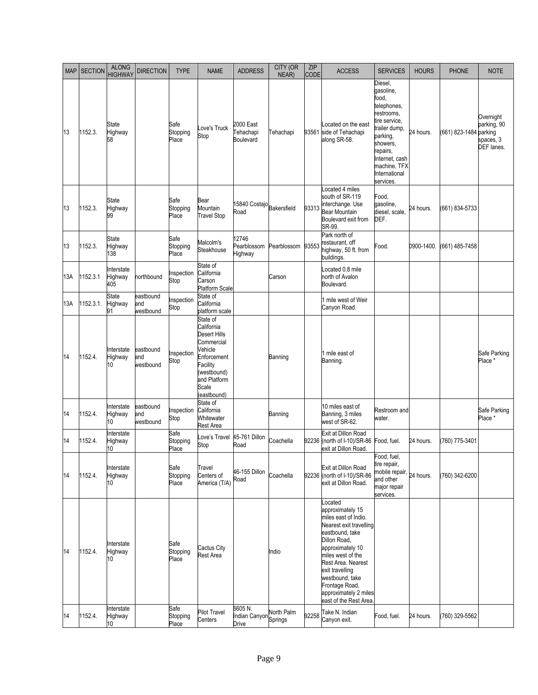| <b>MAP</b> | <b>SECTION</b> | <b>ALONG</b><br><b>HIGHWAY</b>            | <b>DIRECTION</b>              | <b>TYPE</b>                       | <b>NAME</b>                                                                                                                                      | <b>ADDRESS</b>                      | <b>CITY (OR</b><br>NEAR) | ZIP<br>CODE | <b>ACCESS</b>                                                                                                                                                                                                                                                                                                 | <b>SERVICES</b>                                                                                                                                                                                  | <b>HOURS</b> | <b>PHONE</b>           | <b>NOTE</b>                                         |
|------------|----------------|-------------------------------------------|-------------------------------|-----------------------------------|--------------------------------------------------------------------------------------------------------------------------------------------------|-------------------------------------|--------------------------|-------------|---------------------------------------------------------------------------------------------------------------------------------------------------------------------------------------------------------------------------------------------------------------------------------------------------------------|--------------------------------------------------------------------------------------------------------------------------------------------------------------------------------------------------|--------------|------------------------|-----------------------------------------------------|
| 13         | 1152.3.        | State<br>Highway<br>58                    |                               | Safe<br>Stopping<br>Place         | ove's Truck.<br>Stop                                                                                                                             | 2000 East<br>Tehachapi<br>Boulevard | Tehachapi                |             | ocated on the east<br>93561 side of Tehachapi<br>along SR-58.                                                                                                                                                                                                                                                 | Diesel,<br>gasoline,<br>food,<br>telephones,<br>restrooms,<br>tire service,<br>trailer dump,<br>parking,<br>showers,<br>repairs,<br>Internet, cash<br>machine, TFX<br>International<br>services. | 24 hours.    | (661) 823-1484 parking | Overnight<br>parking, 90<br>spaces, 3<br>DEF lanes. |
| 13         | 1152.3.        | State<br>Highway<br>99                    |                               | Safe<br>Stopping<br>Place         | Bear<br>Mountain<br><b>Travel Stop</b>                                                                                                           | 15840 Costajo Bakersfield<br>Road   |                          | 93313       | ocated 4 miles<br>south of SR-119<br>interchange. Use<br>Bear Mountain<br>Boulevard exit from<br>SR-99.                                                                                                                                                                                                       | Food,<br>gasoline,<br>diesel, scale,<br>DEF.                                                                                                                                                     | 24 hours.    | (661) 834-5733         |                                                     |
| 13         | 1152.3.        | State<br>Highway<br>138                   |                               | Safe<br>Stopping<br>Place         | Malcolm's<br>Steakhouse                                                                                                                          | 12746<br>Pearblossom<br>Highway     | Pearblossom              | 93553       | Park north of<br>restaurant, off<br>highway, 50 ft. from<br>buildings.                                                                                                                                                                                                                                        | Food.                                                                                                                                                                                            | 0900-1400.   | (661) 485-7458         |                                                     |
| 13A        | 1152.3.1       | Interstate<br>Highway<br>405              | northbound                    | Inspection<br>Stop                | State of<br>California<br>Carson<br><b>Platform Scale</b>                                                                                        |                                     | Carson                   |             | ocated 0.8 mile<br>north of Avalon<br>Boulevard.                                                                                                                                                                                                                                                              |                                                                                                                                                                                                  |              |                        |                                                     |
| 13A        | 1152.3.1.      | State<br>Highway<br>91                    | eastbound<br>and<br>westbound | Inspection<br>Stop                | State of<br>California<br>platform scale                                                                                                         |                                     |                          |             | 1 mile west of Weir<br>Canyon Road.                                                                                                                                                                                                                                                                           |                                                                                                                                                                                                  |              |                        |                                                     |
| 14         | 1152.4.        | Interstate<br>Highway<br>10               | eastbound<br>and<br>westbound | Inspection<br>Stop                | State of<br>California<br>Desert Hills<br>Commercial<br>Vehicle<br>Enforcement<br>Facility<br>westbound)<br>and Platform<br>Scale<br>(eastbound) |                                     | Banning                  |             | 1 mile east of<br>Banning.                                                                                                                                                                                                                                                                                    |                                                                                                                                                                                                  |              |                        | Safe Parking<br>Place *                             |
| 14         | 1152.4.        | Interstate<br>Highway<br>10               | eastbound<br>and<br>westbound | Inspection<br>Stop                | State of<br>California<br>Whitewater<br>Rest Area                                                                                                |                                     | Banning                  |             | 10 miles east of<br>Banning, 3 miles<br>west of SR-62.                                                                                                                                                                                                                                                        | Restroom and<br>water.                                                                                                                                                                           |              |                        | Safe Parking<br>Place *                             |
| 14         | 1152.4.        | Interstate<br>Highway<br>10               |                               | Safe<br>Stopping<br>Place         | ove's Travel<br>Stop                                                                                                                             | 45-761 Dillon<br>Road               | Coachella                |             | Exit at Dillon Road<br>92236 (north of I-10)/SR-86<br>exit at Dillon Road.                                                                                                                                                                                                                                    | Food, fuel.                                                                                                                                                                                      | 24 hours.    | (760) 775-3401         |                                                     |
| 14         | 1152.4.        | Interstate<br>Highway<br>10               |                               | Safe<br>Stopping<br>Place         | Travel<br>Centers of<br>America (T/A)                                                                                                            | 46-155 Dillon<br>Road               | Coachella                |             | Exit at Dillon Road<br>92236 (north of I-10)/SR-86<br>exit at Dillon Road.                                                                                                                                                                                                                                    | Food, fuel,<br>tire repair,<br>mobile repair,<br>and other<br>major repair<br>services.                                                                                                          | 24 hours.    | (760) 342-6200         |                                                     |
| 14         | 1152.4.        | Interstate<br>Highway<br>10<br>Interstate |                               | Safe<br>Stopping<br>Place<br>Safe | Cactus City<br>Rest Area<br><b>Pilot Travel</b>                                                                                                  | 6605 N.                             | Indio<br>North Palm      |             | .ocated<br>approximately 15<br>miles east of Indio.<br>Nearest exit travelling<br>eastbound, take<br>Dillon Road,<br>approximately 10<br>miles west of the<br>Rest Area. Nearest<br>exit travelling<br>westbound, take<br>Frontage Road,<br>approximately 2 miles<br>east of the Rest Area.<br>Take N. Indian |                                                                                                                                                                                                  |              |                        |                                                     |
| 14         | 1152.4.        | Highway<br>10                             |                               | Stopping<br>Place                 | Centers                                                                                                                                          | Indian Canyon<br>Drive              | Springs                  | 92258       | Canyon exit.                                                                                                                                                                                                                                                                                                  | Food, fuel.                                                                                                                                                                                      | 24 hours.    | (760) 329-5562         |                                                     |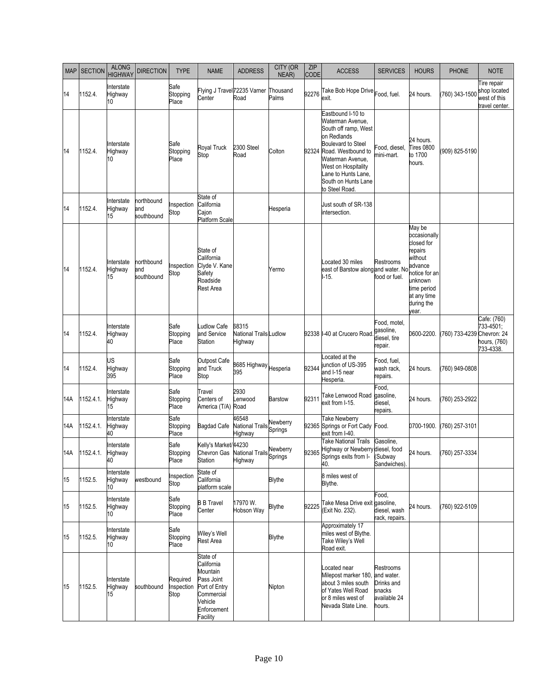| <b>MAP</b> | <b>SECTION</b>        | <b>ALONG</b><br><b>HIGHWAY</b> | <b>DIRECTION</b>                | <b>TYPE</b>                    | <b>NAME</b>                                                                                                           | <b>ADDRESS</b>                                    | <b>CITY (OR</b><br>NEAR) | ZIP<br><b>CODE</b> | <b>ACCESS</b>                                                                                                                                                                                                                                   | <b>SERVICES</b>                                                           | <b>HOURS</b>                                                                                                                                           | <b>PHONE</b>               | <b>NOTE</b>                                                   |
|------------|-----------------------|--------------------------------|---------------------------------|--------------------------------|-----------------------------------------------------------------------------------------------------------------------|---------------------------------------------------|--------------------------|--------------------|-------------------------------------------------------------------------------------------------------------------------------------------------------------------------------------------------------------------------------------------------|---------------------------------------------------------------------------|--------------------------------------------------------------------------------------------------------------------------------------------------------|----------------------------|---------------------------------------------------------------|
| 14         | 1152.4.               | Interstate<br>Highway<br>10    |                                 | Safe<br>Stopping<br>Place      | Flying J Travel 72235 Varner<br>Center                                                                                | Road                                              | Thousand<br>Palms        | 92276              | Fake Bob Hope Drive Food, fuel.<br>exit.                                                                                                                                                                                                        |                                                                           | 24 hours.                                                                                                                                              | (760) 343-1500             | Tire repair<br>shop located<br>west of this<br>travel center. |
| 14         | 1152.4.               | Interstate<br>Highway<br>10    |                                 | Safe<br>Stopping<br>Place      | Royal Truck<br>Stop                                                                                                   | 2300 Steel<br>Road                                | Colton                   |                    | Eastbound I-10 to<br>Waterman Avenue,<br>South off ramp, West<br>on Redlands<br><b>Boulevard to Steel</b><br>92324 Road. Westbound to<br>Waterman Avenue,<br>West on Hospitality<br>ane to Hunts Lane,<br>South on Hunts Lane<br>to Steel Road. | ood, diesel.<br>mini-mart.                                                | 24 hours.<br>Tires 0800<br>to 1700<br>hours.                                                                                                           | (909) 825-5190             |                                                               |
| 14         | 1152.4.               | Interstate<br>Highway<br>15    | horthbound<br>and<br>southbound | Inspection<br>Stop             | State of<br>California<br>Cajon<br><b>Platform Scale</b>                                                              |                                                   | Hesperia                 |                    | Just south of SR-138<br>intersection.                                                                                                                                                                                                           |                                                                           |                                                                                                                                                        |                            |                                                               |
| 14         | 1152.4.               | Interstate<br>Highway<br>15    | northbound<br>and<br>southbound | Inspection<br>Stop             | State of<br>California<br>Clyde V. Kane<br>Safety<br>Roadside<br>Rest Area                                            |                                                   | Yermo                    |                    | Located 30 miles<br>east of Barstow along and water. No<br>$-15.$                                                                                                                                                                               | Restrooms<br>food or fuel.                                                | May be<br>occasionally<br>closed for<br>repairs<br>without<br>advance<br>notice for an<br>unknown<br>time period<br>at any time<br>during the<br>year. |                            |                                                               |
| 14         | 1152.4.               | Interstate<br>Highway<br>40    |                                 | Safe<br>Stopping<br>Place      | Ludlow Cafe<br>and Service<br><b>Station</b>                                                                          | 68315<br><b>National Trails Ludlow</b><br>Highway |                          |                    | 92338 I-40 at Crucero Road                                                                                                                                                                                                                      | Food, motel,<br>gasoline,<br>diesel, tire<br>repair.                      | 0600-2200.                                                                                                                                             | (760) 733-4239 Chevron: 24 | Cafe: (760)<br>733-4501;<br>hours, (760)<br>733-4338.         |
| 14         | 1152.4.               | US<br>Highway<br>395           |                                 | Safe<br>Stopping<br>Place      | <b>Outpost Cafe</b><br>and Truck<br>Stop                                                                              | 8685 Highway<br>395                               | Hesperia                 | 92344              | ocated at the<br>unction of US-395<br>and I-15 near<br>Hesperia.                                                                                                                                                                                | Food, fuel,<br>wash rack,<br>repairs.                                     | 24 hours.                                                                                                                                              | 760) 949-0808              |                                                               |
| 14A        | 1152.4.1.             | Interstate<br>Highway<br>15    |                                 | Safe<br>Stopping<br>Place      | Travel<br>Centers of<br>America (T/A) Road                                                                            | 2930<br>Lenwood                                   | <b>Barstow</b>           | 92311              | Take Lenwood Road<br>exit from I-15.                                                                                                                                                                                                            | Food.<br>gasoline,<br>diesel,<br>repairs.                                 | 24 hours.                                                                                                                                              | (760) 253-2922             |                                                               |
| 14A        | 1152.4.1.             | Interstate<br>Highway<br>40    |                                 | Safe<br>Stopping<br>Place      | <b>Bagdad Cafe</b>                                                                                                    | 46548<br><b>National Trails</b><br>Highway        | Newberry<br>Springs      |                    | Take Newberry<br>92365 Springs or Fort Cady Food.<br>exit from I-40.                                                                                                                                                                            |                                                                           | 0700-1900.                                                                                                                                             | (760) 257-3101             |                                                               |
|            | 14A 1152.4.1. Highway | Interstate<br>40               |                                 | Safe<br>Stopping<br>Place      | Kelly's Market/44230<br>Chevron Gas National Trails<br>Station                                                        | Highway                                           | Newberry<br>Springs      |                    | <b>Take National Trails</b><br>92365 Highway or Newberry diesel, food<br>Springs exits from I- (Subway<br>40.                                                                                                                                   | Gasoline.<br>Sandwiches)                                                  | 24 hours.                                                                                                                                              | (760) 257-3334             |                                                               |
| 15         | 1152.5.               | Interstate<br>Highway<br>10    | westbound                       | Inspection<br>Stop             | State of<br>California<br>platform scale                                                                              |                                                   | <b>Blythe</b>            |                    | 8 miles west of<br>Blythe.                                                                                                                                                                                                                      |                                                                           |                                                                                                                                                        |                            |                                                               |
| 15         | 1152.5.               | Interstate<br>Highway<br>10    |                                 | Safe<br>Stopping<br>Place      | <b>B B Travel</b><br>Center                                                                                           | 17970 W.<br>Hobson Way                            | <b>Blythe</b>            | 92225              | ake Mesa Drive exit<br>(Exit No. 232).                                                                                                                                                                                                          | Food,<br>gasoline,<br>diesel, wash<br>rack, repairs.                      | 24 hours.                                                                                                                                              | (760) 922-5109             |                                                               |
| 15         | 1152.5.               | Interstate<br>Highway<br>10    |                                 | Safe<br>Stopping<br>Place      | Wiley's Well<br>Rest Area                                                                                             |                                                   | Blythe                   |                    | Approximately 17<br>miles west of Blythe.<br>Take Wiley's Well<br>Road exit.                                                                                                                                                                    |                                                                           |                                                                                                                                                        |                            |                                                               |
| 15         | 1152.5.               | Interstate<br>Highway<br>15    | southbound                      | Required<br>Inspection<br>Stop | State of<br>California<br>Mountain<br>Pass Joint<br>Port of Entry<br>Commercial<br>Vehicle<br>Enforcement<br>Facility |                                                   | Nipton                   |                    | Located near<br>Milepost marker 180,<br>about 3 miles south<br>of Yates Well Road<br>or 8 miles west of<br>Nevada State Line.                                                                                                                   | Restrooms<br>and water.<br>Drinks and<br>snacks<br>available 24<br>hours. |                                                                                                                                                        |                            |                                                               |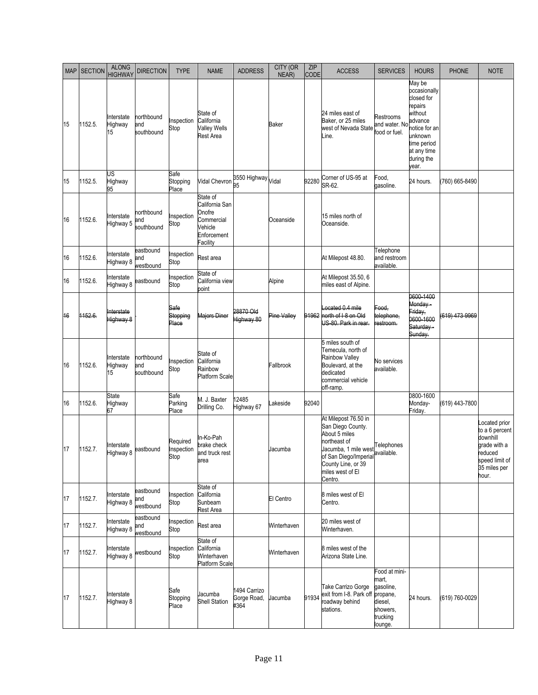| <b>MAP</b> | <b>SECTION</b> | <b>ALONG</b><br><b>HIGHWAY</b> | <b>DIRECTION</b>                | <b>TYPE</b>                    | <b>NAME</b>                                                                              | <b>ADDRESS</b>                      | CITY (OR<br>NEAR) | ZIP<br><b>CODE</b> | <b>ACCESS</b>                                                                                                                                                                                 | <b>SERVICES</b>                                                                   | <b>HOURS</b>                                                                                                                                           | <b>PHONE</b>   | <b>NOTE</b>                                                                                                       |
|------------|----------------|--------------------------------|---------------------------------|--------------------------------|------------------------------------------------------------------------------------------|-------------------------------------|-------------------|--------------------|-----------------------------------------------------------------------------------------------------------------------------------------------------------------------------------------------|-----------------------------------------------------------------------------------|--------------------------------------------------------------------------------------------------------------------------------------------------------|----------------|-------------------------------------------------------------------------------------------------------------------|
| 15         | 1152.5.        | Interstate<br>Highway<br>15    | northbound<br>and<br>southbound | Inspection<br>Stop             | State of<br>California<br>Valley Wells<br>Rest Area                                      |                                     | Baker             |                    | 24 miles east of<br>Baker, or 25 miles<br>west of Nevada State<br>Line.                                                                                                                       | Restrooms<br>and water. No<br>food or fuel.                                       | May be<br>occasionally<br>closed for<br>repairs<br>without<br>advance<br>notice for an<br>unknown<br>time period<br>at any time<br>during the<br>year. |                |                                                                                                                   |
| 15         | 1152.5.        | US<br>Highway<br>95            |                                 | Safe<br>Stopping<br>Place      | <b>Vidal Chevron</b>                                                                     | 3550 Highway Vidal<br>95            |                   | 92280              | Corner of US-95 at<br>SR-62.                                                                                                                                                                  | Food.<br>gasoline.                                                                | 24 hours.                                                                                                                                              | (760) 665-8490 |                                                                                                                   |
| 16         | 1152.6.        | Interstate<br>Highway 5        | horthbound<br>and<br>southbound | Inspection<br>Stop             | State of<br>California San<br>Onofre<br>Commercial<br>Vehicle<br>Enforcement<br>Facility |                                     | Oceanside         |                    | 15 miles north of<br>Oceanside.                                                                                                                                                               |                                                                                   |                                                                                                                                                        |                |                                                                                                                   |
| 16         | 1152.6.        | Interstate<br>Highway 8        | eastbound<br>and<br>westbound   | Inspection<br>Stop             | Rest area                                                                                |                                     |                   |                    | At Milepost 48.80.                                                                                                                                                                            | Telephone<br>and restroom<br>available.                                           |                                                                                                                                                        |                |                                                                                                                   |
| 16         | 1152.6.        | Interstate<br>Highway 8        | eastbound                       | Inspection<br>Stop             | State of<br>California view<br>point                                                     |                                     | Alpine            |                    | At Milepost 35.50, 6<br>miles east of Alpine.                                                                                                                                                 |                                                                                   |                                                                                                                                                        |                |                                                                                                                   |
| 16         | 1152.6.        | Interstate<br>Highway 8        |                                 | Safe<br>Stopping<br>Place      | Majors Diner                                                                             | 28870 Old<br>lighway 80             | Pine Valley       |                    | Located 0.4 mile<br>91962 north of I-8 on Old<br>JS-80. Park in rear.                                                                                                                         | Food,<br>telephone,<br>restroom.                                                  | 0600-1400<br>Monday -<br>Friday,<br>0600-1600<br>Saturday -<br>Sunday.                                                                                 | (619) 473-9969 |                                                                                                                   |
| 16         | 1152.6.        | Interstate<br>Highway<br>15    | northbound<br>and<br>southbound | Inspection<br>Stop             | State of<br>California<br>Rainbow<br><b>Platform Scale</b>                               |                                     | Fallbrook         |                    | 5 miles south of<br>Temecula, north of<br>Rainbow Valley<br>Boulevard, at the<br>dedicated<br>commercial vehicle<br>off-ramp.                                                                 | No services<br>available.                                                         |                                                                                                                                                        |                |                                                                                                                   |
| 16         | 1152.6.        | State<br>Highway<br>67         |                                 | Safe<br>Parking<br>Place       | M. J. Baxter<br>Drilling Co.                                                             | 12485<br>Highway 67                 | .akeside          | 92040              |                                                                                                                                                                                               |                                                                                   | 0800-1600<br>Monday-<br>Friday.                                                                                                                        | (619) 443-7800 |                                                                                                                   |
| 17         | 1152.7.        | Interstate<br>Highway 8        | eastbound                       | Required<br>Inspection<br>Stop | In-Ko-Pah<br>brake check<br>and truck rest<br>area                                       |                                     | Jacumba           |                    | At Milepost 76.50 in<br>San Diego County.<br>About 5 miles<br>northeast of<br>Jacumba, 1 mile west<br>of San Diego/Imperial<br>Countries<br>County Line, or 39<br>miles west of El<br>Centro. |                                                                                   |                                                                                                                                                        |                | Located prior<br>to a 6 percent<br>downhill<br>grade with a<br>reduced<br>speed limit of<br>35 miles per<br>hour. |
| 17         | 1152.7.        | Interstate<br>Highway 8        | eastbound<br>and<br>westbound   | Inspection<br>Stop             | State of<br>California<br>Sunbeam<br>Rest Area                                           |                                     | El Centro         |                    | 8 miles west of El<br>Centro.                                                                                                                                                                 |                                                                                   |                                                                                                                                                        |                |                                                                                                                   |
| 17         | 1152.7.        | Interstate<br>Highway 8        | eastbound<br>and<br>westbound   | Inspection<br>Stop             | Rest area                                                                                |                                     | Winterhaven       |                    | 20 miles west of<br>Winterhaven.                                                                                                                                                              |                                                                                   |                                                                                                                                                        |                |                                                                                                                   |
| 17         | 1152.7.        | Interstate<br>Highway 8        | westbound                       | Inspection<br>Stop             | State of<br>California<br>Winterhaven<br><b>Platform Scale</b>                           |                                     | Winterhaven       |                    | 8 miles west of the<br>Arizona State Line.                                                                                                                                                    |                                                                                   |                                                                                                                                                        |                |                                                                                                                   |
| 17         | 1152.7.        | Interstate<br>Highway 8        |                                 | Safe<br>Stopping<br>Place      | Jacumba<br><b>Shell Station</b>                                                          | 1494 Carrizo<br>Gorge Road,<br>#364 | Jacumba           |                    | Take Carrizo Gorge<br>91934 exit from I-8. Park off propane,<br>roadway behind<br>stations.                                                                                                   | Food at mini-<br>mart,<br>gasoline,<br>diesel,<br>showers,<br>trucking<br>lounge. | 24 hours.                                                                                                                                              | (619) 760-0029 |                                                                                                                   |